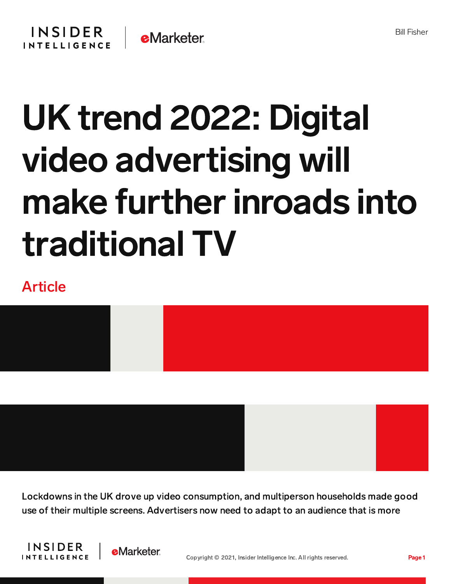

## UK trend 2022: Digital video advertising will make further inroads into traditional TV

## Article



Lockdowns in the UK drove up video consumption, and multiperson households made good use of their multiple screens. Advertisers now need to adapt to an audience that is more



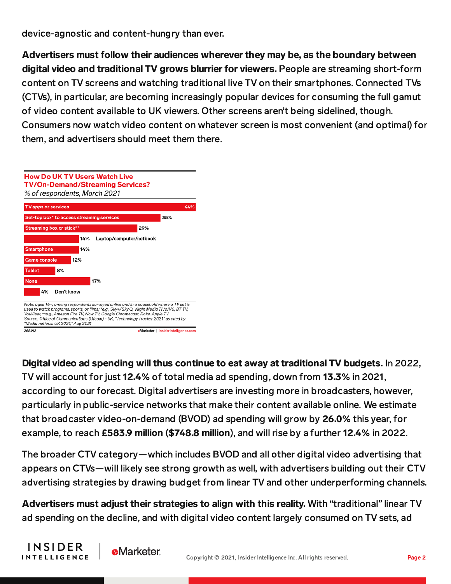device-agnostic and content-hungry than ever.

Advertisers must follow their audiences wherever they may be, as the boundary between digital video and traditional TV grows blurrier for viewers. People are streaming short-form content on TV screens and watching traditional live TV on their smartphones. Connected TVs (CTVs), in particular, are becoming increasingly popular devices for consuming the full gamut of video content available to UK viewers. Other screens aren't being sidelined, though. Consumers now watch video content on whatever screen is most convenient (and optimal) for them, and advertisers should meet them there.



**INSIDER** 

**INTELLIGENCE** 

**e**Marketer

Digital video ad spending will thus continue to eat away at traditional TV budgets. In 2022, TV will account for just 12.4% of total media ad spending, down from 13.3% in 2021, according to our forecast. Digital advertisers are investing more in broadcasters, however, particularly in public-service networks that make their content available online. We estimate that broadcaster video-on-demand (BVOD) ad spending will grow by 26.0% this year, for example, to reach £583.9 million (\$748.8 million), and will rise by a further 12.4% in 2022.

The broader CTV category—which includes BVOD and all other digital video advertising that appears on CTVs—will likely see strong growth as well, with advertisers building out their CTV advertising strategies by drawing budget from linear TV and other underperforming channels.

Advertisers must adjust their strategies to align with this reality. With "traditional" linear TV ad spending on the decline, and with digital video content largely consumed on TV sets, ad